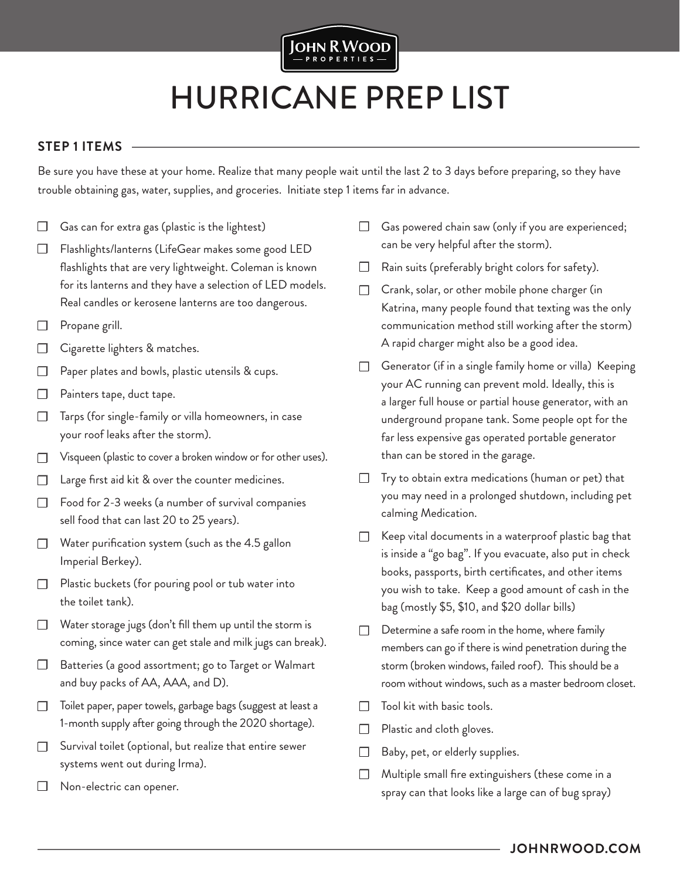

# HURRICANE PREP LIST

#### **STEP 1 ITEMS**

Be sure you have these at your home. Realize that many people wait until the last 2 to 3 days before preparing, so they have trouble obtaining gas, water, supplies, and groceries. Initiate step 1 items far in advance.

- Gas can for extra gas (plastic is the lightest)  $\Box$
- Flashlights/lanterns (LifeGear makes some good LED flashlights that are very lightweight. Coleman is known for its lanterns and they have a selection of LED models. Real candles or kerosene lanterns are too dangerous.
- Propane grill.  $\Box$
- Cigarette lighters & matches.  $\Box$
- Paper plates and bowls, plastic utensils & cups.  $\Box$
- $\Box$ Painters tape, duct tape.
- $\Box$ Tarps (for single-family or villa homeowners, in case your roof leaks after the storm).
- Visqueen (plastic to cover a broken window or for other uses).  $\Box$
- Large first aid kit & over the counter medicines.  $\Box$
- $\Box$ Food for 2-3 weeks (a number of survival companies sell food that can last 20 to 25 years).
- $\Box$  Water purification system (such as the 4.5 gallon Imperial Berkey).
- $\Box$  Plastic buckets (for pouring pool or tub water into the toilet tank).
- Water storage jugs (don't fill them up until the storm is coming, since water can get stale and milk jugs can break).
- $\Box$  Batteries (a good assortment; go to Target or Walmart and buy packs of AA, AAA, and D).
- □ Toilet paper, paper towels, garbage bags (suggest at least a 1-month supply after going through the 2020 shortage).
- $\Box$  Survival toilet (optional, but realize that entire sewer systems went out during Irma).
- $\Box$  Non-electric can opener.
- $\Box$  Gas powered chain saw (only if you are experienced; can be very helpful after the storm).
- Rain suits (preferably bright colors for safety).
- Crank, solar, or other mobile phone charger (in Katrina, many people found that texting was the only communication method still working after the storm) A rapid charger might also be a good idea.
- $\Box$  Generator (if in a single family home or villa) Keeping your AC running can prevent mold. Ideally, this is a larger full house or partial house generator, with an underground propane tank. Some people opt for the far less expensive gas operated portable generator than can be stored in the garage.
- $\Box$  Try to obtain extra medications (human or pet) that you may need in a prolonged shutdown, including pet calming Medication.
- $\Box$  Keep vital documents in a waterproof plastic bag that is inside a "go bag". If you evacuate, also put in check books, passports, birth certificates, and other items you wish to take. Keep a good amount of cash in the bag (mostly \$5, \$10, and \$20 dollar bills)
- $\Box$  Determine a safe room in the home, where family members can go if there is wind penetration during the storm (broken windows, failed roof). This should be a room without windows, such as a master bedroom closet.
- $\Box$  Tool kit with basic tools.
- $\Box$  Plastic and cloth gloves.
- $\Box$  Baby, pet, or elderly supplies.
- $\Box$  Multiple small fire extinguishers (these come in a spray can that looks like a large can of bug spray)